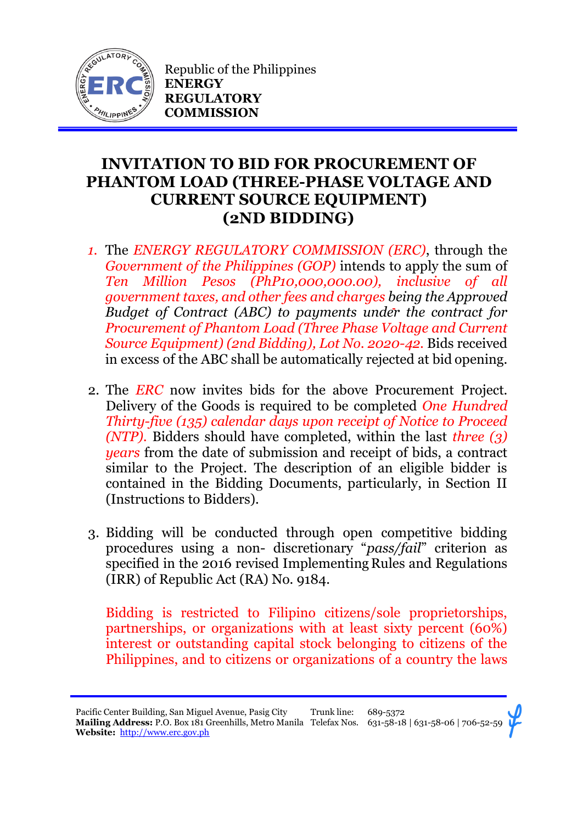

Republic of the Philippines **ENERGY REGULATORY COMMISSION**

## **INVITATION TO BID FOR PROCUREMENT OF PHANTOM LOAD (THREE-PHASE VOLTAGE AND CURRENT SOURCE EQUIPMENT) (2ND BIDDING)**

- *1.* The *ENERGY REGULATORY COMMISSION (ERC)*, through the *Government of the Philippines (GOP)* intends to apply the sum of *Ten Million Pesos (PhP10,000,000.00), inclusive of all government taxes, and other fees and charges being the Approved Budget of Contract (ABC) to payments under the contract for Procurement of Phantom Load (Three Phase Voltage and Current Source Equipment) (2nd Bidding), Lot No. 2020-42.* Bids received in excess of the ABC shall be automatically rejected at bid opening.
- 2. The *ERC* now invites bids for the above Procurement Project. Delivery of the Goods is required to be completed *One Hundred Thirty-five (135) calendar days upon receipt of Notice to Proceed (NTP).* Bidders should have completed, within the last *three (3) years* from the date of submission and receipt of bids, a contract similar to the Project. The description of an eligible bidder is contained in the Bidding Documents, particularly, in Section II (Instructions to Bidders).
- 3. Bidding will be conducted through open competitive bidding procedures using a non- discretionary "*pass/fail*" criterion as specified in the 2016 revised Implementing Rules and Regulations (IRR) of Republic Act (RA) No. 9184.

Bidding is restricted to Filipino citizens/sole proprietorships, partnerships, or organizations with at least sixty percent (60%) interest or outstanding capital stock belonging to citizens of the Philippines, and to citizens or organizations of a country the laws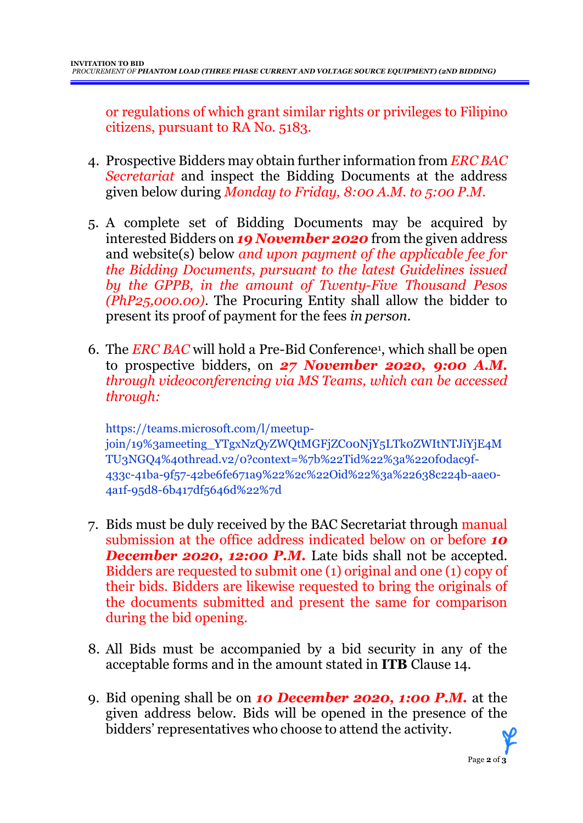or regulations of which grant similar rights or privileges to Filipino citizens, pursuant to RA No. 5183.

- 4. Prospective Bidders may obtain further information from *ERC BAC Secretariat* and inspect the Bidding Documents at the address given below during *Monday to Friday, 8:00 A.M. to 5:00 P.M*.
- 5. A complete set of Bidding Documents may be acquired by interested Bidders on *19 November 2020* from the given address and website(s) below *and upon payment of the applicable fee for the Bidding Documents, pursuant to the latest Guidelines issued by the GPPB, in the amount of Twenty-Five Thousand Pesos (PhP25,000.00)*. The Procuring Entity shall allow the bidder to present its proof of payment for the fees *in person.*
- 6. The *ERC BAC* will hold a Pre-Bid Conference<sup>1</sup> , which shall be open to prospective bidders, on *27 November 2020, 9:00 A.M. through videoconferencing via MS Teams, which can be accessed through:*

https://teams.microsoft.com/l/meetupjoin/19%3ameeting\_YTgxNzQyZWQtMGFjZC00NjY5LTk0ZWItNTJiYjE4M TU3NGQ4%40thread.v2/0?context=%7b%22Tid%22%3a%220f0dac9f-433c-41ba-9f57-42be6fe671a9%22%2c%22Oid%22%3a%22638c224b-aae0- 4a1f-95d8-6b417df5646d%22%7d

- 7. Bids must be duly received by the BAC Secretariat through manual submission at the office address indicated below on or before *10* **December 2020, 12:00 P.M.** Late bids shall not be accepted. Bidders are requested to submit one (1) original and one (1) copy of their bids. Bidders are likewise requested to bring the originals of the documents submitted and present the same for comparison during the bid opening.
- 8. All Bids must be accompanied by a bid security in any of the acceptable forms and in the amount stated in **ITB** Clause 14.
- 9. Bid opening shall be on *10 December 2020, 1:00 P.M.* at the given address below. Bids will be opened in the presence of the bidders' representatives who choose to attend the activity.